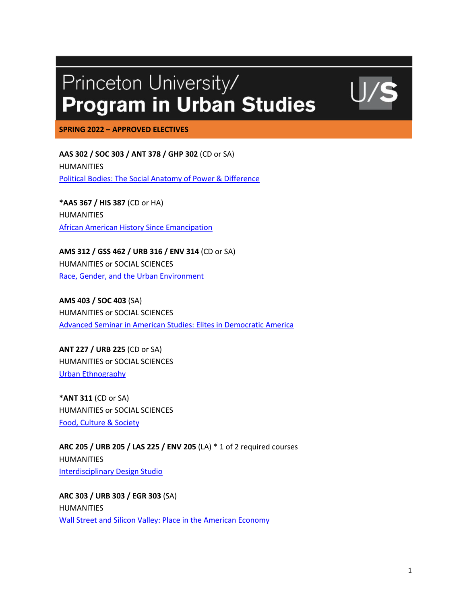## Princeton University/ **Program in Urban Studies**

**SPRING 2022 – APPROVED ELECTIVES**

**AAS 302 / SOC 303 / ANT 378 / GHP 302** (CD or SA) HUMANITIES Political Bodies: The Social Anatomy of Power & Difference

**\*AAS 367 / HIS 387** (CD or HA) HUMANITIES African American History Since Emancipation

**AMS 312 / GSS 462 / URB 316 / ENV 314** (CD or SA) HUMANITIES or SOCIAL SCIENCES Race, Gender, and the Urban Environment

**AMS 403 / SOC 403** (SA) HUMANITIES or SOCIAL SCIENCES Advanced Seminar in American Studies: Elites in Democratic America

**ANT 227 / URB 225** (CD or SA) HUMANITIES or SOCIAL SCIENCES Urban Ethnography

**\*ANT 311** (CD or SA) HUMANITIES or SOCIAL SCIENCES Food, Culture & Society

**ARC 205 / URB 205 / LAS 225 / ENV 205** (LA) \* 1 of 2 required courses HUMANITIES Interdisciplinary Design Studio

**ARC 303 / URB 303 / EGR 303** (SA) HUMANITIES Wall Street and Silicon Valley: Place in the American Economy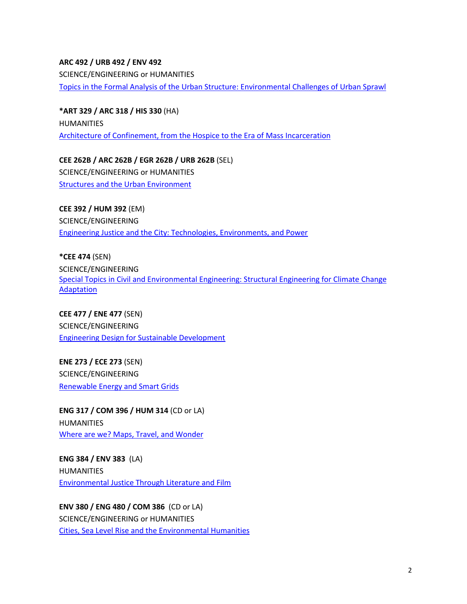## **ARC 492 / URB 492 / ENV 492**  SCIENCE/ENGINEERING or HUMANITIES Topics in the Formal Analysis of the Urban Structure: Environmental Challenges of Urban Sprawl

**\*ART 329 / ARC 318 / HIS 330** (HA) HUMANITIES Architecture of Confinement, from the Hospice to the Era of Mass Incarceration

**CEE 262B / ARC 262B / EGR 262B / URB 262B** (SEL) SCIENCE/ENGINEERING or HUMANITIES Structures and the Urban Environment

**CEE 392 / HUM 392** (EM) SCIENCE/ENGINEERING Engineering Justice and the City: Technologies, Environments, and Power

**\*CEE 474** (SEN) SCIENCE/ENGINEERING Special Topics in Civil and Environmental Engineering: Structural Engineering for Climate Change **Adaptation** 

**CEE 477 / ENE 477** (SEN) SCIENCE/ENGINEERING Engineering Design for Sustainable Development

**ENE 273 / ECE 273** (SEN) SCIENCE/ENGINEERING Renewable Energy and Smart Grids

**ENG 317 / COM 396 / HUM 314** (CD or LA) HUMANITIES Where are we? Maps, Travel, and Wonder

**ENG 384 / ENV 383** (LA) HUMANITIES Environmental Justice Through Literature and Film

**ENV 380 / ENG 480 / COM 386** (CD or LA) SCIENCE/ENGINEERING or HUMANITIES Cities, Sea Level Rise and the Environmental Humanities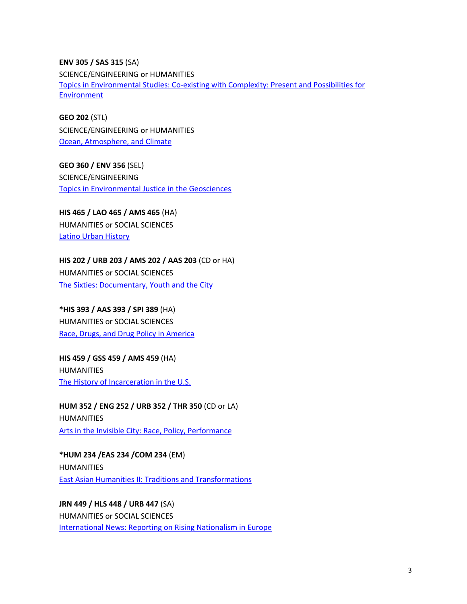**ENV 305 / SAS 315** (SA) SCIENCE/ENGINEERING or HUMANITIES Topics in Environmental Studies: Co-existing with Complexity: Present and Possibilities for Environment

**GEO 202** (STL) SCIENCE/ENGINEERING or HUMANITIES Ocean, Atmosphere, and Climate

**GEO 360 / ENV 356** (SEL) SCIENCE/ENGINEERING Topics in Environmental Justice in the Geosciences

**HIS 465 / LAO 465 / AMS 465** (HA) HUMANITIES or SOCIAL SCIENCES Latino Urban History

**HIS 202 / URB 203 / AMS 202 / AAS 203** (CD or HA) HUMANITIES or SOCIAL SCIENCES The Sixties: Documentary, Youth and the City

**\*HIS 393 / AAS 393 / SPI 389** (HA) HUMANITIES or SOCIAL SCIENCES Race, Drugs, and Drug Policy in America

**HIS 459 / GSS 459 / AMS 459** (HA) HUMANITIES The History of Incarceration in the U.S.

**HUM 352 / ENG 252 / URB 352 / THR 350** (CD or LA) HUMANITIES Arts in the Invisible City: Race, Policy, Performance

**\*HUM 234 /EAS 234 /COM 234** (EM) HUMANITIES East Asian Humanities II: Traditions and Transformations

**JRN 449 / HLS 448 / URB 447** (SA) HUMANITIES or SOCIAL SCIENCES International News: Reporting on Rising Nationalism in Europe